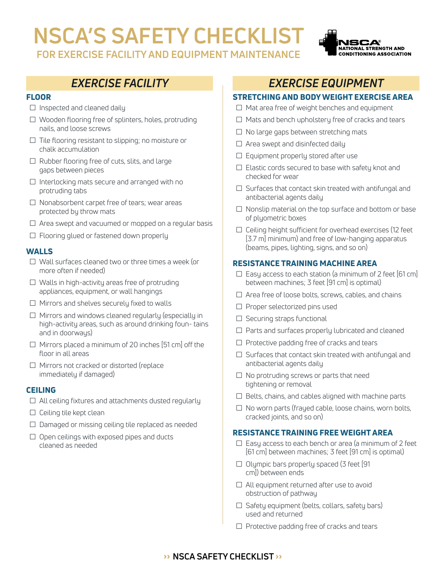# **NSCA'S SAFETY CHECKLIST**

**FOR EXERCISE FACILITY AND EQUIPMENT MAINTENANCE**



# *EXERCISE FACILITY*

# FLOOR

- $\Box$  Inspected and cleaned daily
- □ Wooden flooring free of splinters, holes, protruding nails, and loose screws
- $\Box$  Tile flooring resistant to slipping; no moisture or chalk accumulation
- $\Box$  Rubber flooring free of cuts, slits, and large gaps between pieces
- $\Box$  Interlocking mats secure and arranged with no protruding tabs
- $\Box$  Nonabsorbent carpet free of tears; wear areas protected by throw mats
- Area swept and vacuumed or mopped on a regular basis
- □ Flooring glued or fastened down properly

## WALLS

- □ Wall surfaces cleaned two or three times a week (or more often if needed)
- □ Walls in high-activity areas free of protruding appliances, equipment, or wall hangings
- $\Box$  Mirrors and shelves securely fixed to walls
- Mirrors and windows cleaned regularly (especially in high-activity areas, such as around drinking foun- tains and in doorways)
- □ Mirrors placed a minimum of 20 inches [51 cm] off the floor in all areas
- Mirrors not cracked or distorted (replace immediately if damaged)

### CEILING

- $\Box$  All ceiling fixtures and attachments dusted regularly
- $\square$  Ceiling tile kept clean
- $\Box$  Damaged or missing ceiling tile replaced as needed
- $\Box$  Open ceilings with exposed pipes and ducts cleaned as needed

# *EXERCISE EQUIPMENT*

# STRETCHING AND BODY WEIGHT EXERCISE AREA

- Mat area free of weight benches and equipment
- $\Box$  Mats and bench upholstery free of cracks and tears
- $\Box$  No large gaps between stretching mats
- $\Box$  Area swept and disinfected daily
- $\Box$  Equipment properly stored after use
- $\Box$  Elastic cords secured to base with safety knot and checked for wear
- $\Box$  Surfaces that contact skin treated with antifungal and antibacterial agents daily
- $\Box$  Nonslip material on the top surface and bottom or base of plyometric boxes
- $\Box$  Ceiling height sufficient for overhead exercises (12 feet [3.7 m] minimum) and free of low-hanging apparatus (beams, pipes, lighting, signs, and so on)

# RESISTANCE TRAINING MACHINE AREA

- $\Box$  Easy access to each station (a minimum of 2 feet [61 cm] between machines; 3 feet [91 cm] is optimal)
- $\Box$  Area free of loose bolts, screws, cables, and chains
- $\Box$  Proper selectorized pins used
- $\square$  Securing straps functional
- □ Parts and surfaces properly lubricated and cleaned
- $\Box$  Protective padding free of cracks and tears
- $\Box$  Surfaces that contact skin treated with antifungal and antibacterial agents daily
- □ No protruding screws or parts that need tightening or removal
- $\Box$  Belts, chains, and cables aligned with machine parts
- $\Box$  No worn parts (frayed cable, loose chains, worn bolts, cracked joints, and so on)

### RESISTANCE TRAINING FREE WEIGHT AREA

- $\Box$  Easy access to each bench or area (a minimum of 2 feet [61 cm] between machines; 3 feet [91 cm] is optimal)
- $\Box$  Olympic bars properly spaced (3 feet [91 cm]) between ends
- □ All equipment returned after use to avoid obstruction of pathway
- $\Box$  Safety equipment (belts, collars, safety bars) used and returned
- $\Box$  Protective padding free of cracks and tears

# **›› NSCA SAFETY CHECKLIST ››**